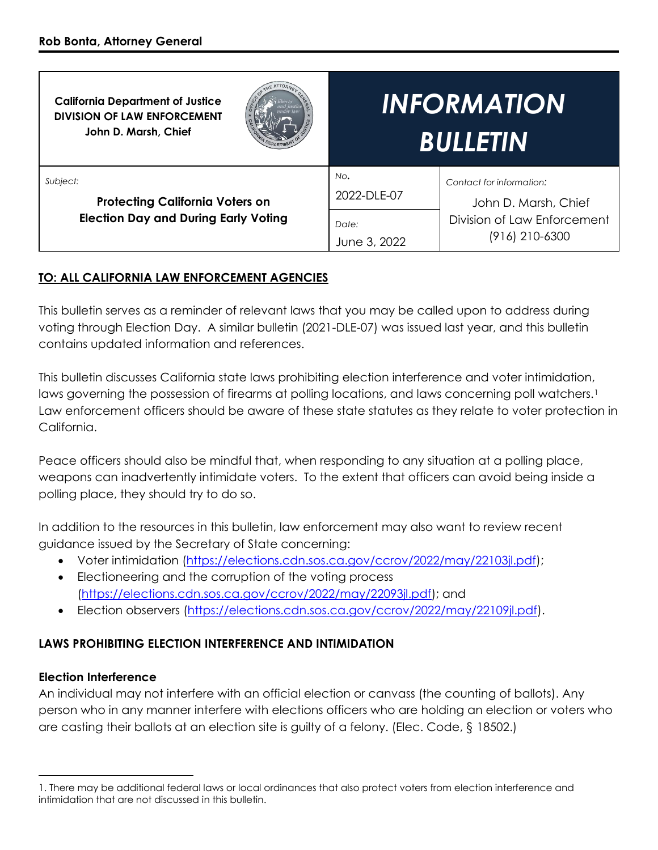| <b>California Department of Justice</b><br><b>DIVISION OF LAW ENFORCEMENT</b><br>John D. Marsh, Chief | <b>INFORMATION</b><br><b>BULLETIN</b>                                                                                                            |
|-------------------------------------------------------------------------------------------------------|--------------------------------------------------------------------------------------------------------------------------------------------------|
| Subject:<br><b>Protecting California Voters on</b><br><b>Election Day and During Early Voting</b>     | No.<br>Contact for information:<br>2022-DLE-07<br>John D. Marsh, Chief<br>Division of Law Enforcement<br>Date:<br>(916) 210-6300<br>June 3, 2022 |

## **TO: ALL CALIFORNIA LAW ENFORCEMENT AGENCIES**

This bulletin serves as a reminder of relevant laws that you may be called upon to address during voting through Election Day. A similar bulletin (2021-DLE-07) was issued last year, and this bulletin contains updated information and references.

This bulletin discusses California state laws prohibiting election interference and voter intimidation, laws governing the possession of firearms at polling locations, and laws concerning poll watchers.<sup>1</sup> Law enforcement officers should be aware of these state statutes as they relate to voter protection in California.

Peace officers should also be mindful that, when responding to any situation at a polling place, weapons can inadvertently intimidate voters. To the extent that officers can avoid being inside a polling place, they should try to do so.

In addition to the resources in this bulletin, law enforcement may also want to review recent guidance issued by the Secretary of State concerning:

- Voter intimidation [\(https://elections.cdn.sos.ca.gov/ccrov/2022/may/22103jl.pdf\)](https://elections.cdn.sos.ca.gov/ccrov/2022/may/22103jl.pdf);
- Electioneering and the corruption of the voting process [\(https://elections.cdn.sos.ca.gov/ccrov/2022/may/22093jl.pdf\)](https://elections.cdn.sos.ca.gov/ccrov/2022/may/22093jl.pdf); and
- Election observers [\(https://elections.cdn.sos.ca.gov/ccrov/2022/may/22109jl.pdf\)](https://elections.cdn.sos.ca.gov/ccrov/2022/may/22109jl.pdf).

## **LAWS PROHIBITING ELECTION INTERFERENCE AND INTIMIDATION**

#### **Election Interference**

 $\overline{a}$ 

An individual may not interfere with an official election or canvass (the counting of ballots). Any person who in any manner interfere with elections officers who are holding an election or voters who are casting their ballots at an election site is guilty of a felony. (Elec. Code, § 18502.)

<sup>1.</sup> There may be additional federal laws or local ordinances that also protect voters from election interference and intimidation that are not discussed in this bulletin.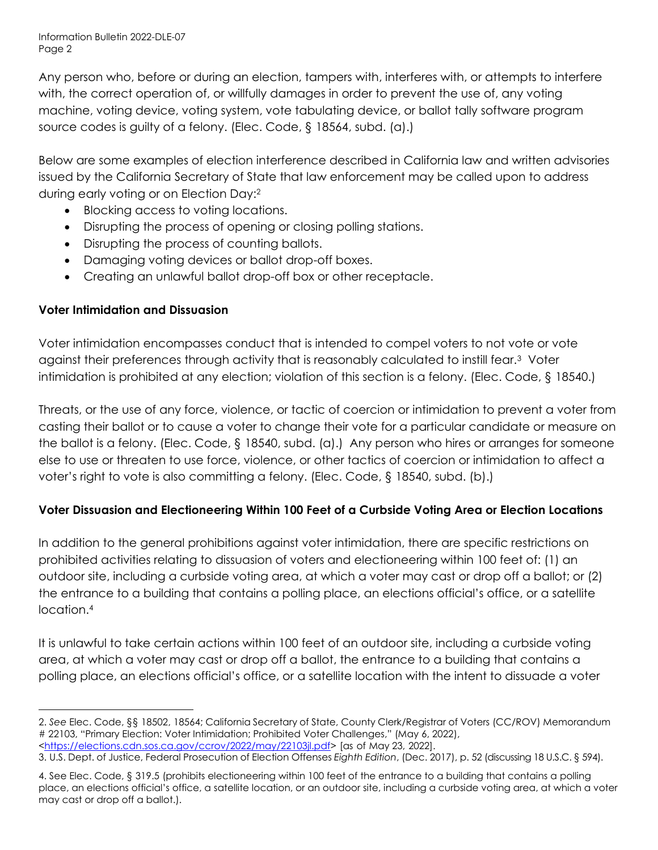Information Bulletin 2022-DLE-07 Page 2

Any person who, before or during an election, tampers with, interferes with, or attempts to interfere with, the correct operation of, or willfully damages in order to prevent the use of, any voting machine, voting device, voting system, vote tabulating device, or ballot tally software program source codes is guilty of a felony. (Elec. Code, § 18564, subd. (a).)

Below are some examples of election interference described in California law and written advisories issued by the California Secretary of State that law enforcement may be called upon to address during early voting or on Election Day:<sup>2</sup>

- Blocking access to voting locations.
- Disrupting the process of opening or closing polling stations.
- Disrupting the process of counting ballots.
- Damaging voting devices or ballot drop-off boxes.
- Creating an unlawful ballot drop-off box or other receptacle.

## **Voter Intimidation and Dissuasion**

Voter intimidation encompasses conduct that is intended to compel voters to not vote or vote against their preferences through activity that is reasonably calculated to instill fear.<sup>3</sup> Voter intimidation is prohibited at any election; violation of this section is a felony. (Elec. Code, § 18540.)

Threats, or the use of any force, violence, or tactic of coercion or intimidation to prevent a voter from casting their ballot or to cause a voter to change their vote for a particular candidate or measure on the ballot is a felony. (Elec. Code, § 18540, subd. (a).) Any person who hires or arranges for someone else to use or threaten to use force, violence, or other tactics of coercion or intimidation to affect a voter's right to vote is also committing a felony. (Elec. Code, § 18540, subd. (b).)

## **Voter Dissuasion and Electioneering Within 100 Feet of a Curbside Voting Area or Election Locations**

In addition to the general prohibitions against voter intimidation, there are specific restrictions on prohibited activities relating to dissuasion of voters and electioneering within 100 feet of: (1) an outdoor site, including a curbside voting area, at which a voter may cast or drop off a ballot; or (2) the entrance to a building that contains a polling place, an elections official's office, or a satellite location.<sup>4</sup>

It is unlawful to take certain actions within 100 feet of an outdoor site, including a curbside voting area, at which a voter may cast or drop off a ballot, the entrance to a building that contains a polling place, an elections official's office, or a satellite location with the intent to dissuade a voter

 $\overline{a}$ 2. *See* Elec. Code, §§ 18502, 18564; California Secretary of State, County Clerk/Registrar of Voters (CC/ROV) Memorandum # 22103, "Primary Election: Voter Intimidation; Prohibited Voter Challenges," (May 6, 2022), [<https://elections.cdn.sos.ca.gov/ccrov/2022/may/22103jl.pdf>](https://elections.cdn.sos.ca.gov/ccrov/2022/may/22103jl.pdf) [as of May 23, 2022].

<sup>3.</sup> U.S. Dept. of Justice, Federal Prosecution of Election Offenses *Eighth Edition*, (Dec. 2017), p. 52 (discussing 18 U.S.C. § 594).

<sup>4.</sup> See Elec. Code, § 319.5 (prohibits electioneering within 100 feet of the entrance to a building that contains a polling place, an elections official's office, a satellite location, or an outdoor site, including a curbside voting area, at which a voter may cast or drop off a ballot.).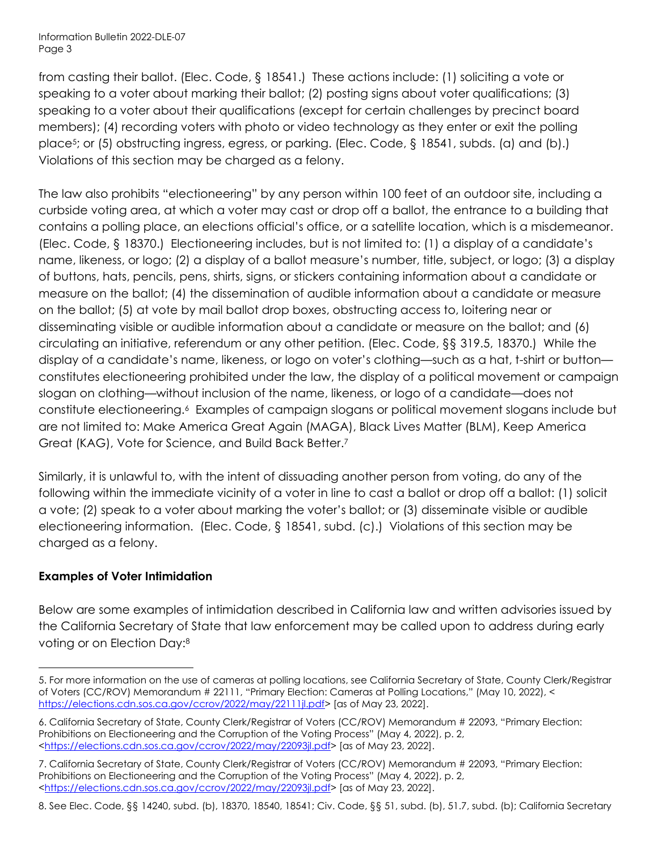Information Bulletin 2022-DLE-07 Page 3

from casting their ballot. (Elec. Code, § 18541.) These actions include: (1) soliciting a vote or speaking to a voter about marking their ballot; (2) posting signs about voter qualifications; (3) speaking to a voter about their qualifications (except for certain challenges by precinct board members); (4) recording voters with photo or video technology as they enter or exit the polling place<sup>5</sup> ; or (5) obstructing ingress, egress, or parking. (Elec. Code, § 18541, subds. (a) and (b).) Violations of this section may be charged as a felony.

The law also prohibits "electioneering" by any person within 100 feet of an outdoor site, including a curbside voting area, at which a voter may cast or drop off a ballot, the entrance to a building that contains a polling place, an elections official's office, or a satellite location, which is a misdemeanor. (Elec. Code, § 18370.) Electioneering includes, but is not limited to: (1) a display of a candidate's name, likeness, or logo; (2) a display of a ballot measure's number, title, subject, or logo; (3) a display of buttons, hats, pencils, pens, shirts, signs, or stickers containing information about a candidate or measure on the ballot; (4) the dissemination of audible information about a candidate or measure on the ballot; (5) at vote by mail ballot drop boxes, obstructing access to, loitering near or disseminating visible or audible information about a candidate or measure on the ballot; and (6) circulating an initiative, referendum or any other petition. (Elec. Code, §§ 319.5, 18370.) While the display of a candidate's name, likeness, or logo on voter's clothing—such as a hat, t-shirt or button constitutes electioneering prohibited under the law, the display of a political movement or campaign slogan on clothing—without inclusion of the name, likeness, or logo of a candidate—does not constitute electioneering.<sup>6</sup> Examples of campaign slogans or political movement slogans include but are not limited to: Make America Great Again (MAGA), Black Lives Matter (BLM), Keep America Great (KAG), Vote for Science, and Build Back Better.<sup>7</sup>

Similarly, it is unlawful to, with the intent of dissuading another person from voting, do any of the following within the immediate vicinity of a voter in line to cast a ballot or drop off a ballot: (1) solicit a vote; (2) speak to a voter about marking the voter's ballot; or (3) disseminate visible or audible electioneering information. (Elec. Code, § 18541, subd. (c).) Violations of this section may be charged as a felony.

#### **Examples of Voter Intimidation**

 $\overline{a}$ 

Below are some examples of intimidation described in California law and written advisories issued by the California Secretary of State that law enforcement may be called upon to address during early voting or on Election Day:<sup>8</sup>

<sup>5.</sup> For more information on the use of cameras at polling locations, see California Secretary of State, County Clerk/Registrar of Voters (CC/ROV) Memorandum # 22111, "Primary Election: Cameras at Polling Locations," (May 10, 2022), < [https://elections.cdn.sos.ca.gov/ccrov/2022/may/22111jl.pdf>](https://elections.cdn.sos.ca.gov/ccrov/2022/may/22111jl.pdf) [as of May 23, 2022].

<sup>6.</sup> California Secretary of State, County Clerk/Registrar of Voters (CC/ROV) Memorandum # 22093, "Primary Election: Prohibitions on Electioneering and the Corruption of the Voting Process" (May 4, 2022), p. 2, [<https://elections.cdn.sos.ca.gov/ccrov/2022/may/22093jl.pdf>](https://elections.cdn.sos.ca.gov/ccrov/2022/may/22093jl.pdf) [as of May 23, 2022].

<sup>7.</sup> California Secretary of State, County Clerk/Registrar of Voters (CC/ROV) Memorandum # 22093, "Primary Election: Prohibitions on Electioneering and the Corruption of the Voting Process" (May 4, 2022), p. 2, [<https://elections.cdn.sos.ca.gov/ccrov/2022/may/22093jl.pdf>](https://elections.cdn.sos.ca.gov/ccrov/2022/may/22093jl.pdf) [as of May 23, 2022].

<sup>8.</sup> See Elec. Code, §§ 14240, subd. (b), 18370, 18540, 18541; Civ. Code, §§ 51, subd. (b), 51.7, subd. (b); California Secretary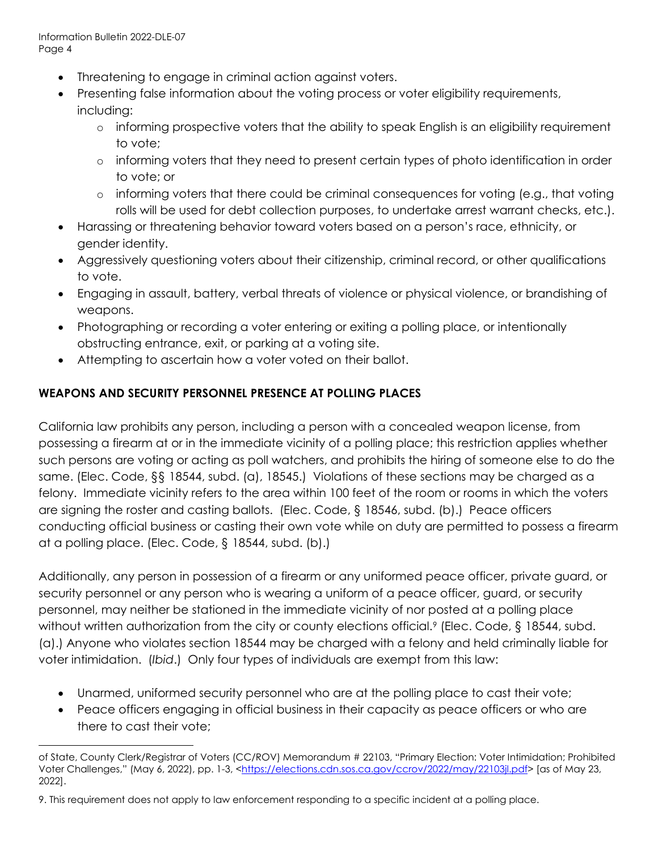- Threatening to engage in criminal action against voters.
- Presenting false information about the voting process or voter eligibility requirements, including:
	- o informing prospective voters that the ability to speak English is an eligibility requirement to vote;
	- o informing voters that they need to present certain types of photo identification in order to vote; or
	- o informing voters that there could be criminal consequences for voting (e.g., that voting rolls will be used for debt collection purposes, to undertake arrest warrant checks, etc.).
- Harassing or threatening behavior toward voters based on a person's race, ethnicity, or gender identity.
- Aggressively questioning voters about their citizenship, criminal record, or other qualifications to vote.
- Engaging in assault, battery, verbal threats of violence or physical violence, or brandishing of weapons.
- Photographing or recording a voter entering or exiting a polling place, or intentionally obstructing entrance, exit, or parking at a voting site.
- Attempting to ascertain how a voter voted on their ballot.

## **WEAPONS AND SECURITY PERSONNEL PRESENCE AT POLLING PLACES**

California law prohibits any person, including a person with a concealed weapon license, from possessing a firearm at or in the immediate vicinity of a polling place; this restriction applies whether such persons are voting or acting as poll watchers, and prohibits the hiring of someone else to do the same. (Elec. Code, §§ 18544, subd. (a), 18545.) Violations of these sections may be charged as a felony. Immediate vicinity refers to the area within 100 feet of the room or rooms in which the voters are signing the roster and casting ballots. (Elec. Code, § 18546, subd. (b).) Peace officers conducting official business or casting their own vote while on duty are permitted to possess a firearm at a polling place. (Elec. Code, § 18544, subd. (b).)

Additionally, any person in possession of a firearm or any uniformed peace officer, private guard, or security personnel or any person who is wearing a uniform of a peace officer, guard, or security personnel, may neither be stationed in the immediate vicinity of nor posted at a polling place without written authorization from the city or county elections official.<sup>9</sup> (Elec. Code, § 18544, subd. (a).) Anyone who violates section 18544 may be charged with a felony and held criminally liable for voter intimidation. (*Ibid*.) Only four types of individuals are exempt from this law:

- Unarmed, uniformed security personnel who are at the polling place to cast their vote;
- Peace officers engaging in official business in their capacity as peace officers or who are there to cast their vote;

 $\overline{a}$ of State, County Clerk/Registrar of Voters (CC/ROV) Memorandum # 22103, "Primary Election: Voter Intimidation; Prohibited Voter Challenges," (May 6, 2022), pp. 1-3, [<https://elections.cdn.sos.ca.gov/ccrov/2022/may/22103jl.pdf>](https://elections.cdn.sos.ca.gov/ccrov/2022/may/22103jl.pdf) [as of May 23, 2022].

<sup>9.</sup> This requirement does not apply to law enforcement responding to a specific incident at a polling place.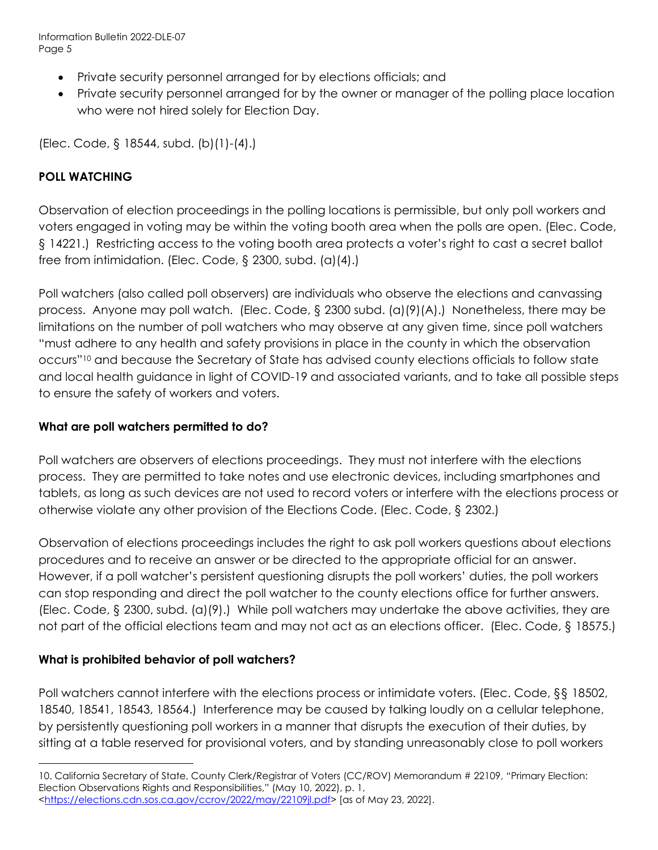Information Bulletin 2022-DLE-07 Page 5

- Private security personnel arranged for by elections officials; and
- Private security personnel arranged for by the owner or manager of the polling place location who were not hired solely for Election Day.

(Elec. Code, § 18544, subd. (b)(1)-(4).)

# **POLL WATCHING**

Observation of election proceedings in the polling locations is permissible, but only poll workers and voters engaged in voting may be within the voting booth area when the polls are open. (Elec. Code, § 14221.) Restricting access to the voting booth area protects a voter's right to cast a secret ballot free from intimidation. (Elec. Code, § 2300, subd. (a)(4).)

Poll watchers (also called poll observers) are individuals who observe the elections and canvassing process. Anyone may poll watch. (Elec. Code, § 2300 subd. (a)(9)(A).) Nonetheless, there may be limitations on the number of poll watchers who may observe at any given time, since poll watchers "must adhere to any health and safety provisions in place in the county in which the observation occurs"<sup>10</sup> and because the Secretary of State has advised county elections officials to follow state and local health guidance in light of COVID-19 and associated variants, and to take all possible steps to ensure the safety of workers and voters.

### **What are poll watchers permitted to do?**

Poll watchers are observers of elections proceedings. They must not interfere with the elections process. They are permitted to take notes and use electronic devices, including smartphones and tablets, as long as such devices are not used to record voters or interfere with the elections process or otherwise violate any other provision of the Elections Code. (Elec. Code, § 2302.)

Observation of elections proceedings includes the right to ask poll workers questions about elections procedures and to receive an answer or be directed to the appropriate official for an answer. However, if a poll watcher's persistent questioning disrupts the poll workers' duties, the poll workers can stop responding and direct the poll watcher to the county elections office for further answers. (Elec. Code, § 2300, subd. (a)(9).) While poll watchers may undertake the above activities, they are not part of the official elections team and may not act as an elections officer. (Elec. Code, § 18575.)

## **What is prohibited behavior of poll watchers?**

Poll watchers cannot interfere with the elections process or intimidate voters. (Elec. Code, §§ 18502, 18540, 18541, 18543, 18564.) Interference may be caused by talking loudly on a cellular telephone, by persistently questioning poll workers in a manner that disrupts the execution of their duties, by sitting at a table reserved for provisional voters, and by standing unreasonably close to poll workers

 $\overline{a}$ 10. California Secretary of State, County Clerk/Registrar of Voters (CC/ROV) Memorandum # 22109, "Primary Election: Election Observations Rights and Responsibilities," (May 10, 2022), p. 1, [<https://elections.cdn.sos.ca.gov/ccrov/2022/may/22109jl.pdf>](https://elections.cdn.sos.ca.gov/ccrov/2022/may/22109jl.pdf) [as of May 23, 2022].